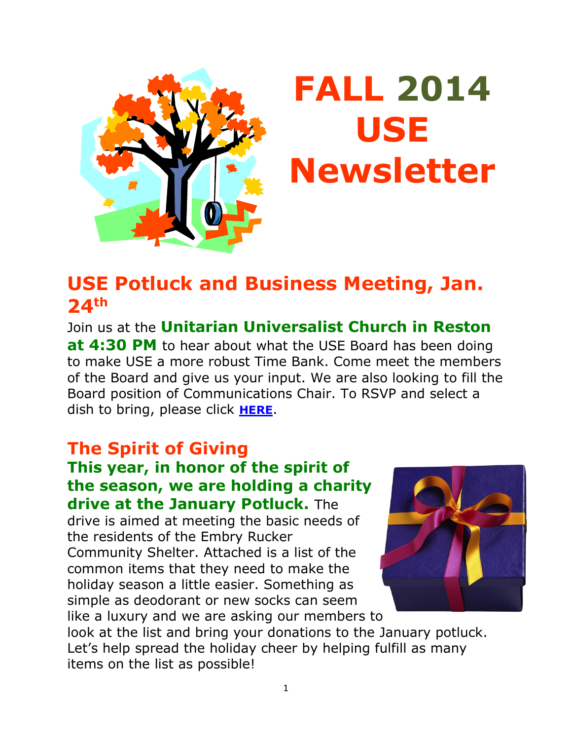

# **FALL 2014 USE Newsletter**

## **USE Potluck and Business Meeting, Jan. 24th**

Join us at the **Unitarian Universalist Church in Reston at 4:30 PM** to hear about what the USE Board has been doing to make USE a more robust Time Bank. Come meet the members of the Board and give us your input. We are also looking to fill the Board position of Communications Chair. To RSVP and select a dish to bring, please click **[HERE](http://www.signupgenius.com/go/20f0e4aafae28a1f58-january)**.

### **The Spirit of Giving**

#### **This year, in honor of the spirit of the season, we are holding a charity drive at the January Potluck.** The

drive is aimed at meeting the basic needs of the residents of the Embry Rucker Community Shelter. Attached is a list of the common items that they need to make the holiday season a little easier. Something as simple as deodorant or new socks can seem like a luxury and we are asking our members to



look at the list and bring your donations to the January potluck. Let's help spread the holiday cheer by helping fulfill as many items on the list as possible!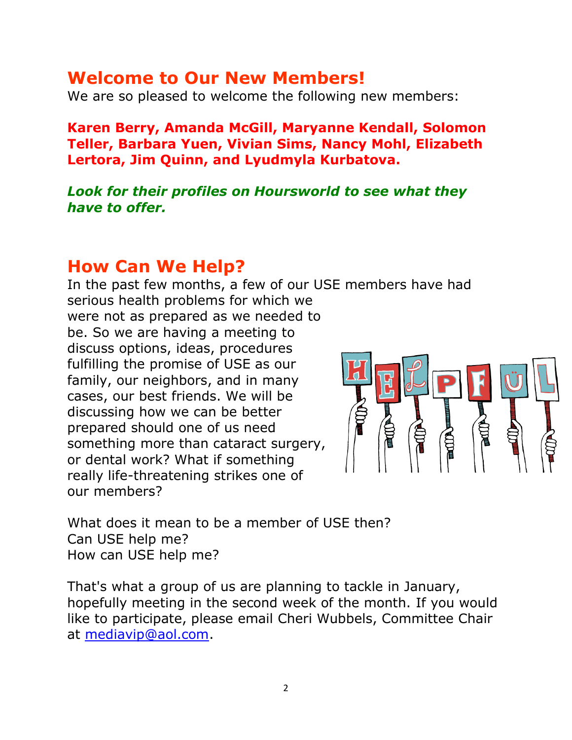#### **Welcome to Our New Members!**

We are so pleased to welcome the following new members:

**Karen Berry, Amanda McGill, Maryanne Kendall, Solomon Teller, Barbara Yuen, Vivian Sims, Nancy Mohl, Elizabeth Lertora, Jim Quinn, and Lyudmyla Kurbatova.**

#### *Look for their profiles on Hoursworld to see what they have to offer.*

#### **How Can We Help?**

In the past few months, a few of our USE members have had serious health problems for which we were not as prepared as we needed to be. So we are having a meeting to discuss options, ideas, procedures fulfilling the promise of USE as our family, our neighbors, and in many cases, our best friends. We will be discussing how we can be better prepared should one of us need something more than cataract surgery, or dental work? What if something really life-threatening strikes one of our members?

What does it mean to be a member of USE then? Can USE help me? How can USE help me?

That's what a group of us are planning to tackle in January, hopefully meeting in the second week of the month. If you would like to participate, please email Cheri Wubbels, Committee Chair at [mediavip@aol.com.](mailto:mediavip@aol.com)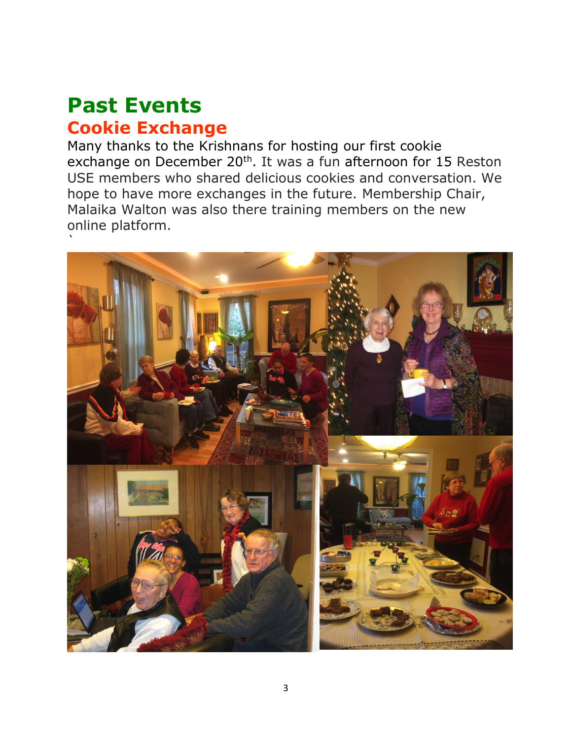## **Past Events Cookie Exchange**

Many thanks to the Krishnans for hosting our first cookie exchange on December 20<sup>th</sup>. It was a fun afternoon for 15 Reston USE members who shared delicious cookies and conversation. We hope to have more exchanges in the future. Membership Chair, Malaika Walton was also there training members on the new online platform.

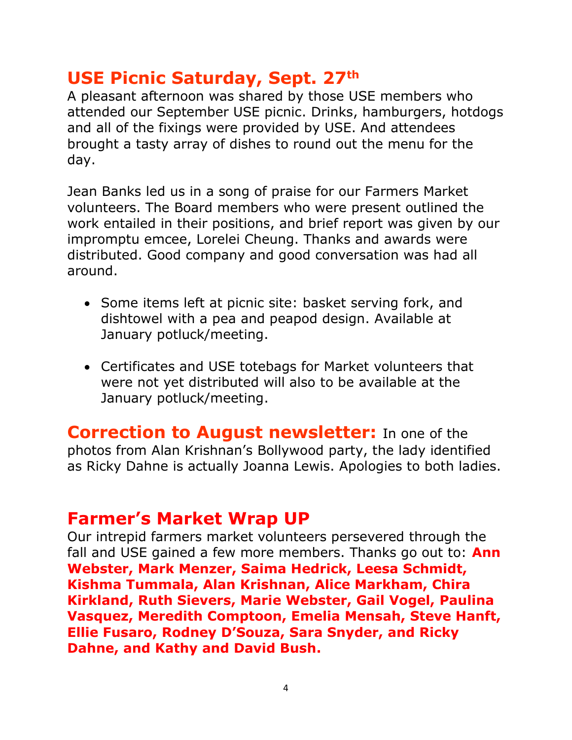#### **USE Picnic Saturday, Sept. 27th**

A pleasant afternoon was shared by those USE members who attended our September USE picnic. Drinks, hamburgers, hotdogs and all of the fixings were provided by USE. And attendees brought a tasty array of dishes to round out the menu for the day.

Jean Banks led us in a song of praise for our Farmers Market volunteers. The Board members who were present outlined the work entailed in their positions, and brief report was given by our impromptu emcee, Lorelei Cheung. Thanks and awards were distributed. Good company and good conversation was had all around.

- Some items left at picnic site: basket serving fork, and dishtowel with a pea and peapod design. Available at January potluck/meeting.
- Certificates and USE totebags for Market volunteers that were not yet distributed will also to be available at the January potluck/meeting.

**Correction to August newsletter:** In one of the photos from Alan Krishnan's Bollywood party, the lady identified as Ricky Dahne is actually Joanna Lewis. Apologies to both ladies.

#### **Farmer's Market Wrap UP**

Our intrepid farmers market volunteers persevered through the fall and USE gained a few more members. Thanks go out to: **Ann Webster, Mark Menzer, Saima Hedrick, Leesa Schmidt, Kishma Tummala, Alan Krishnan, Alice Markham, Chira Kirkland, Ruth Sievers, Marie Webster, Gail Vogel, Paulina Vasquez, Meredith Comptoon, Emelia Mensah, Steve Hanft, Ellie Fusaro, Rodney D'Souza, Sara Snyder, and Ricky Dahne, and Kathy and David Bush.**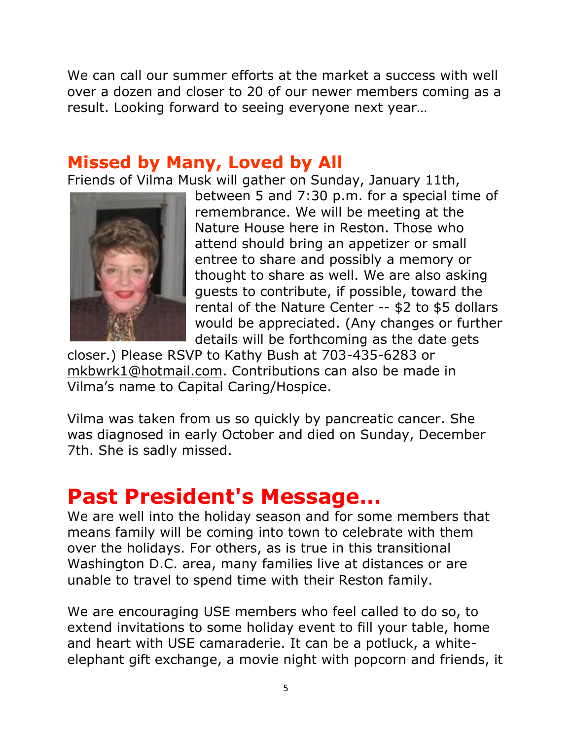We can call our summer efforts at the market a success with well over a dozen and closer to 20 of our newer members coming as a result. Looking forward to seeing everyone next year…

#### **Missed by Many, Loved by All**

Friends of Vilma Musk will gather on Sunday, January 11th,



between 5 and 7:30 p.m. for a special time of remembrance. We will be meeting at the Nature House here in Reston. Those who attend should bring an appetizer or small entree to share and possibly a memory or thought to share as well. We are also asking guests to contribute, if possible, toward the rental of the Nature Center -- \$2 to \$5 dollars would be appreciated. (Any changes or further details will be forthcoming as the date gets

closer.) Please RSVP to Kathy Bush at 703-435-6283 or [mkbwrk1@hotmail.com.](mailto:mkbwrk1@hotmail.com) Contributions can also be made in Vilma's name to Capital Caring/Hospice.

Vilma was taken from us so quickly by pancreatic cancer. She was diagnosed in early October and died on Sunday, December 7th. She is sadly missed.

## **Past President's Message…**

We are well into the holiday season and for some members that means family will be coming into town to celebrate with them over the holidays. For others, as is true in this transitional Washington D.C. area, many families live at distances or are unable to travel to spend time with their Reston family.

We are encouraging USE members who feel called to do so, to extend invitations to some holiday event to fill your table, home and heart with USE camaraderie. It can be a potluck, a whiteelephant gift exchange, a movie night with popcorn and friends, it